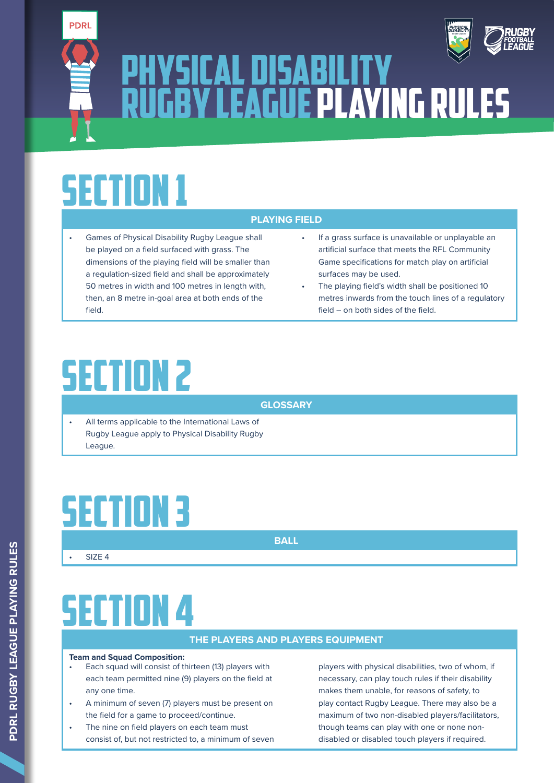

# PHYSICAL DISABILITY AND STREET RUGBY LEAGUE PLAYING RULES

# SECTION 1

- Games of Physical Disability Rugby League shall be played on a field surfaced with grass. The dimensions of the playing field will be smaller than a regulation-sized field and shall be approximately 50 metres in width and 100 metres in length with, then, an 8 metre in-goal area at both ends of the field.
- If a grass surface is unavailable or unplayable an artificial surface that meets the RFL Community Game specifications for match play on artificial surfaces may be used.

*PHYSICAL DISABILITY*

The playing field's width shall be positioned 10 metres inwards from the touch lines of a regulatory field – on both sides of the field.

# SECTION 2

**GLOSSARY**

**PLAYING FIELD**

All terms applicable to the International Laws of Rugby League apply to Physical Disability Rugby League.

# SECTION 3

**BALL**

• SIZE 4

# SECTION 4

### **THE PLAYERS AND PLAYERS EQUIPMENT**

### **Team and Squad Composition:**

- Each squad will consist of thirteen (13) players with each team permitted nine (9) players on the field at any one time.
- A minimum of seven (7) players must be present on the field for a game to proceed/continue.
- The nine on field players on each team must consist of, but not restricted to, a minimum of seven

players with physical disabilities, two of whom, if necessary, can play touch rules if their disability makes them unable, for reasons of safety, to play contact Rugby League. There may also be a maximum of two non-disabled players/facilitators, though teams can play with one or none nondisabled or disabled touch players if required.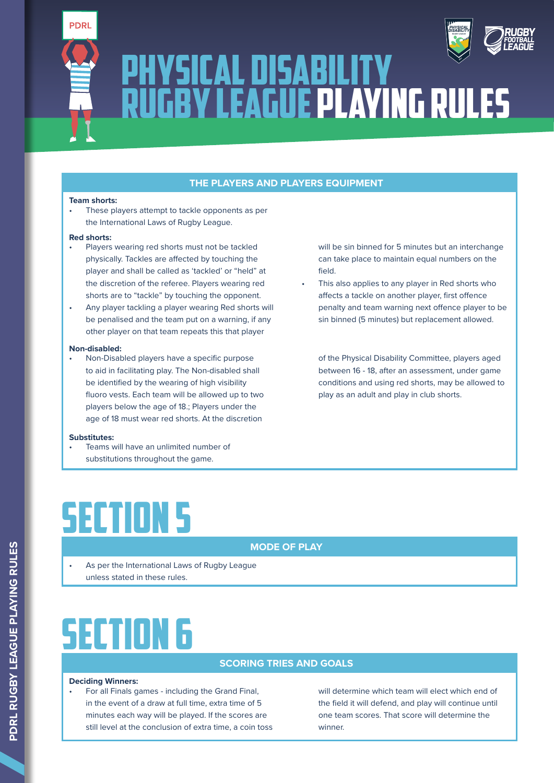



### **THE PLAYERS AND PLAYERS EQUIPMENT**

#### **Team shorts:**

These players attempt to tackle opponents as per the International Laws of Rugby League.

#### **Red shorts:**

- Players wearing red shorts must not be tackled physically. Tackles are affected by touching the player and shall be called as 'tackled' or "held" at the discretion of the referee. Players wearing red shorts are to "tackle" by touching the opponent.
- Any player tackling a player wearing Red shorts will be penalised and the team put on a warning, if any other player on that team repeats this that player

#### **Non-disabled:**

• Non-Disabled players have a specific purpose to aid in facilitating play. The Non-disabled shall be identified by the wearing of high visibility fluoro vests. Each team will be allowed up to two players below the age of 18.; Players under the age of 18 must wear red shorts. At the discretion

#### **Substitutes:**

• Teams will have an unlimited number of substitutions throughout the game.

will be sin binned for 5 minutes but an interchange can take place to maintain equal numbers on the field.

*PHYSICAL*

This also applies to any player in Red shorts who affects a tackle on another player, first offence penalty and team warning next offence player to be sin binned (5 minutes) but replacement allowed.

of the Physical Disability Committee, players aged between 16 - 18, after an assessment, under game conditions and using red shorts, may be allowed to play as an adult and play in club shorts.

# SECTION 5

### **MODE OF PLAY**

As per the International Laws of Rugby League unless stated in these rules.

# SECTION 6

### **SCORING TRIES AND GOALS**

#### **Deciding Winners:**

• For all Finals games - including the Grand Final, in the event of a draw at full time, extra time of 5 minutes each way will be played. If the scores are still level at the conclusion of extra time, a coin toss will determine which team will elect which end of the field it will defend, and play will continue until one team scores. That score will determine the winner.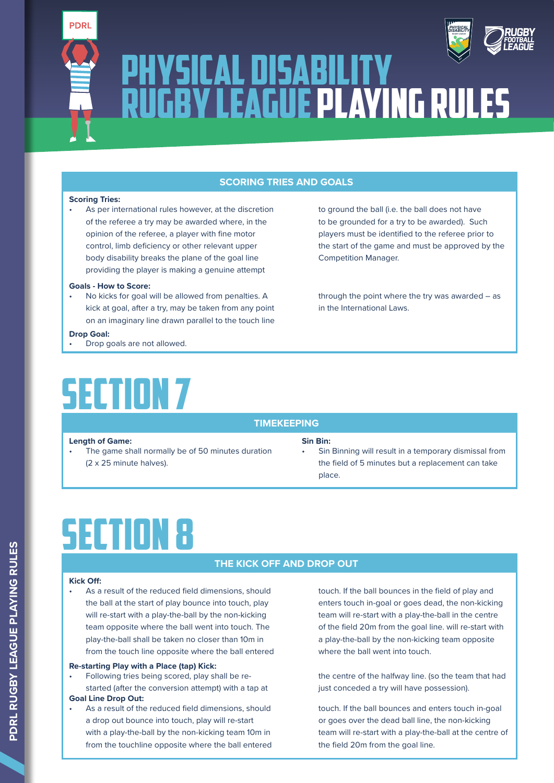



### **SCORING TRIES AND GOALS**

#### **Scoring Tries:**

As per international rules however, at the discretion of the referee a try may be awarded where, in the opinion of the referee, a player with fine motor control, limb deficiency or other relevant upper body disability breaks the plane of the goal line providing the player is making a genuine attempt

#### **Goals - How to Score:**

No kicks for goal will be allowed from penalties. A kick at goal, after a try, may be taken from any point on an imaginary line drawn parallel to the touch line

#### **Drop Goal:**

Drop goals are not allowed.

# SECTION 7

### **TIMEKEEPING**

### **Length of Game: Sin Bin:**

The game shall normally be of 50 minutes duration (2 x 25 minute halves).

## players must be identified to the referee prior to the start of the game and must be approved by the Competition Manager.

to ground the ball (i.e. the ball does not have to be grounded for a try to be awarded). Such

*PHYSICAL*

through the point where the try was awarded  $-$  as in the International Laws.

Sin Binning will result in a temporary dismissal from the field of 5 minutes but a replacement can take place.

# SECTION 8

### **THE KICK OFF AND DROP OUT**

### **Kick Off:**

As a result of the reduced field dimensions, should the ball at the start of play bounce into touch, play will re-start with a play-the-ball by the non-kicking team opposite where the ball went into touch. The play-the-ball shall be taken no closer than 10m in from the touch line opposite where the ball entered

### **Re-starting Play with a Place (tap) Kick:**

• Following tries being scored, play shall be restarted (after the conversion attempt) with a tap at

### **Goal Line Drop Out:**

As a result of the reduced field dimensions, should a drop out bounce into touch, play will re-start with a play-the-ball by the non-kicking team 10m in from the touchline opposite where the ball entered touch. If the ball bounces in the field of play and enters touch in-goal or goes dead, the non-kicking team will re-start with a play-the-ball in the centre of the field 20m from the goal line. will re-start with a play-the-ball by the non-kicking team opposite where the ball went into touch.

the centre of the halfway line. (so the team that had just conceded a try will have possession).

touch. If the ball bounces and enters touch in-goal or goes over the dead ball line, the non-kicking team will re-start with a play-the-ball at the centre of the field 20m from the goal line.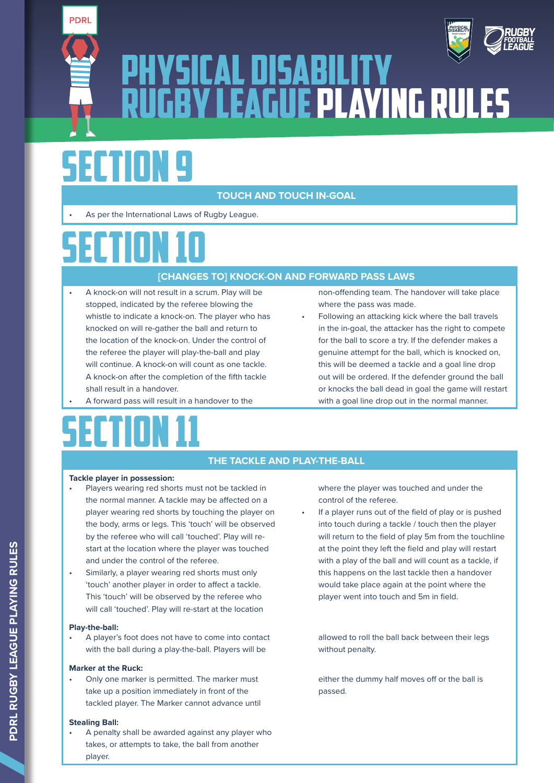



# SECTION 9

**PDRL** 

### **TOUCH AND TOUCH IN-GOAL**

• As per the International Laws of Rugby League.

# SECTION 10

### **[CHANGES TO] KNOCK-ON AND FORWARD PASS LAWS**

- A knock-on will not result in a scrum. Play will be stopped, indicated by the referee blowing the whistle to indicate a knock-on. The player who has knocked on will re-gather the ball and return to the location of the knock-on. Under the control of the referee the player will play-the-ball and play will continue. A knock-on will count as one tackle. A knock-on after the completion of the fifth tackle shall result in a handover.
- A forward pass will result in a handover to the

# SECTION 11

non-offending team. The handover will take place where the pass was made.

• Following an attacking kick where the ball travels in the in-goal, the attacker has the right to compete for the ball to score a try. If the defender makes a genuine attempt for the ball, which is knocked on, this will be deemed a tackle and a goal line drop out will be ordered. If the defender ground the ball or knocks the ball dead in goal the game will restart with a goal line drop out in the normal manner.

### **THE TACKLE AND PLAY-THE-BALL**

### **Tackle player in possession:**

- Players wearing red shorts must not be tackled in the normal manner. A tackle may be affected on a player wearing red shorts by touching the player on the body, arms or legs. This 'touch' will be observed by the referee who will call 'touched'. Play will restart at the location where the player was touched and under the control of the referee.
- Similarly, a player wearing red shorts must only 'touch' another player in order to affect a tackle. This 'touch' will be observed by the referee who will call 'touched'. Play will re-start at the location

### **Play-the-ball:**

• A player's foot does not have to come into contact with the ball during a play-the-ball. Players will be

### **Marker at the Ruck:**

• Only one marker is permitted. The marker must take up a position immediately in front of the tackled player. The Marker cannot advance until

### **Stealing Ball:**

• A penalty shall be awarded against any player who takes, or attempts to take, the ball from another player.

where the player was touched and under the control of the referee.

If a player runs out of the field of play or is pushed into touch during a tackle / touch then the player will return to the field of play 5m from the touchline at the point they left the field and play will restart with a play of the ball and will count as a tackle, if this happens on the last tackle then a handover would take place again at the point where the player went into touch and 5m in field.

allowed to roll the ball back between their legs without penalty.

either the dummy half moves off or the ball is passed.